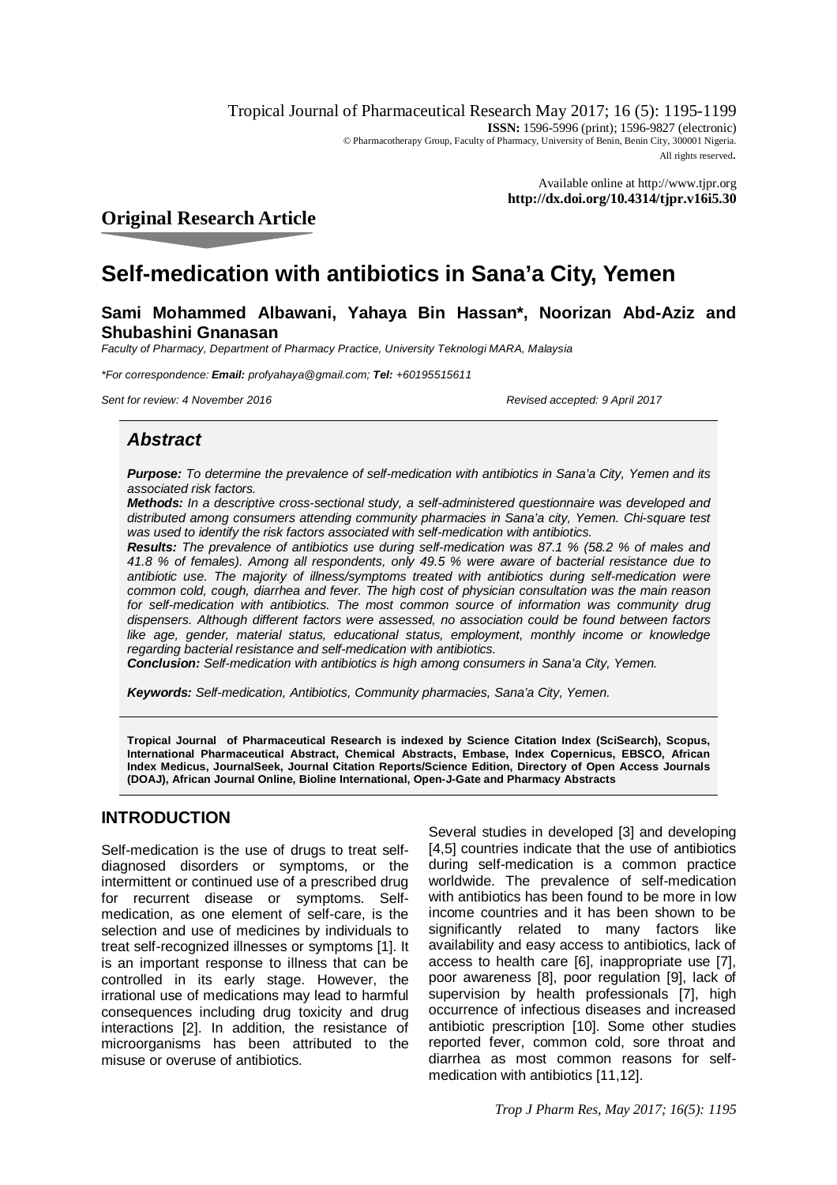Tropical Journal of Pharmaceutical Research May 2017; 16 (5): 1195-1199 **ISSN:** 1596-5996 (print): 1596-9827 (electronic) © Pharmacotherapy Group, Faculty of Pharmacy, University of Benin, Benin City, 300001 Nigeria. All rights reserved.

> Available online at <http://www.tjpr.org> **<http://dx.doi.org/10.4314/tjpr.v16i5.30>**

## **Original Research Article**

# **Self-medication with antibiotics in Sana'a City, Yemen**

## **Sami Mohammed Albawani, Yahaya Bin Hassan\*, Noorizan Abd-Aziz and Shubashini Gnanasan**

*Faculty of Pharmacy, Department of Pharmacy Practice, University Teknologi MARA, Malaysia*

*\*For correspondence: Email: [profyahaya@gmail.com;](mailto:profyahaya@gmail.com;) Tel: +60195515611*

*Sent for review: 4 November 2016 Revised accepted: 9 April 2017*

## *Abstract*

*Purpose: To determine the prevalence of self-medication with antibiotics in Sana'a City, Yemen and its associated risk factors.* 

*Methods: In a descriptive cross-sectional study, a self-administered questionnaire was developed and distributed among consumers attending community pharmacies in Sana'a city, Yemen. Chi-square test was used to identify the risk factors associated with self-medication with antibiotics.*

*Results: The prevalence of antibiotics use during self-medication was 87.1 % (58.2 % of males and 41.8 % of females). Among all respondents, only 49.5 % were aware of bacterial resistance due to antibiotic use. The majority of illness/symptoms treated with antibiotics during self-medication were common cold, cough, diarrhea and fever. The high cost of physician consultation was the main reason*  for self-medication with antibiotics. The most common source of information was community drug *dispensers. Although different factors were assessed, no association could be found between factors*  like age, gender, material status, educational status, employment, monthly income or knowledge *regarding bacterial resistance and self-medication with antibiotics.*

*Conclusion: Self-medication with antibiotics is high among consumers in Sana'a City, Yemen.* 

*Keywords: Self-medication, Antibiotics, Community pharmacies, Sana'a City, Yemen.*

**Tropical Journal of Pharmaceutical Research is indexed by Science Citation Index (SciSearch), Scopus, International Pharmaceutical Abstract, Chemical Abstracts, Embase, Index Copernicus, EBSCO, African Index Medicus, JournalSeek, Journal Citation Reports/Science Edition, Directory of Open Access Journals (DOAJ), African Journal Online, Bioline International, Open-J-Gate and Pharmacy Abstracts**

## **INTRODUCTION**

Self-medication is the use of drugs to treat selfdiagnosed disorders or symptoms, or the intermittent or continued use of a prescribed drug for recurrent disease or symptoms. Selfmedication, as one element of self-care, is the selection and use of medicines by individuals to treat self-recognized illnesses or symptoms [1]. It is an important response to illness that can be controlled in its early stage. However, the irrational use of medications may lead to harmful consequences including drug toxicity and drug interactions [2]. In addition, the resistance of microorganisms has been attributed to the misuse or overuse of antibiotics.

Several studies in developed [3] and developing [4,5] countries indicate that the use of antibiotics during self-medication is a common practice worldwide. The prevalence of self-medication with antibiotics has been found to be more in low income countries and it has been shown to be significantly related to many factors like availability and easy access to antibiotics, lack of access to health care [6], inappropriate use [7], poor awareness [8], poor regulation [9], lack of supervision by health professionals [7], high occurrence of infectious diseases and increased antibiotic prescription [10]. Some other studies reported fever, common cold, sore throat and diarrhea as most common reasons for selfmedication with antibiotics [11,12].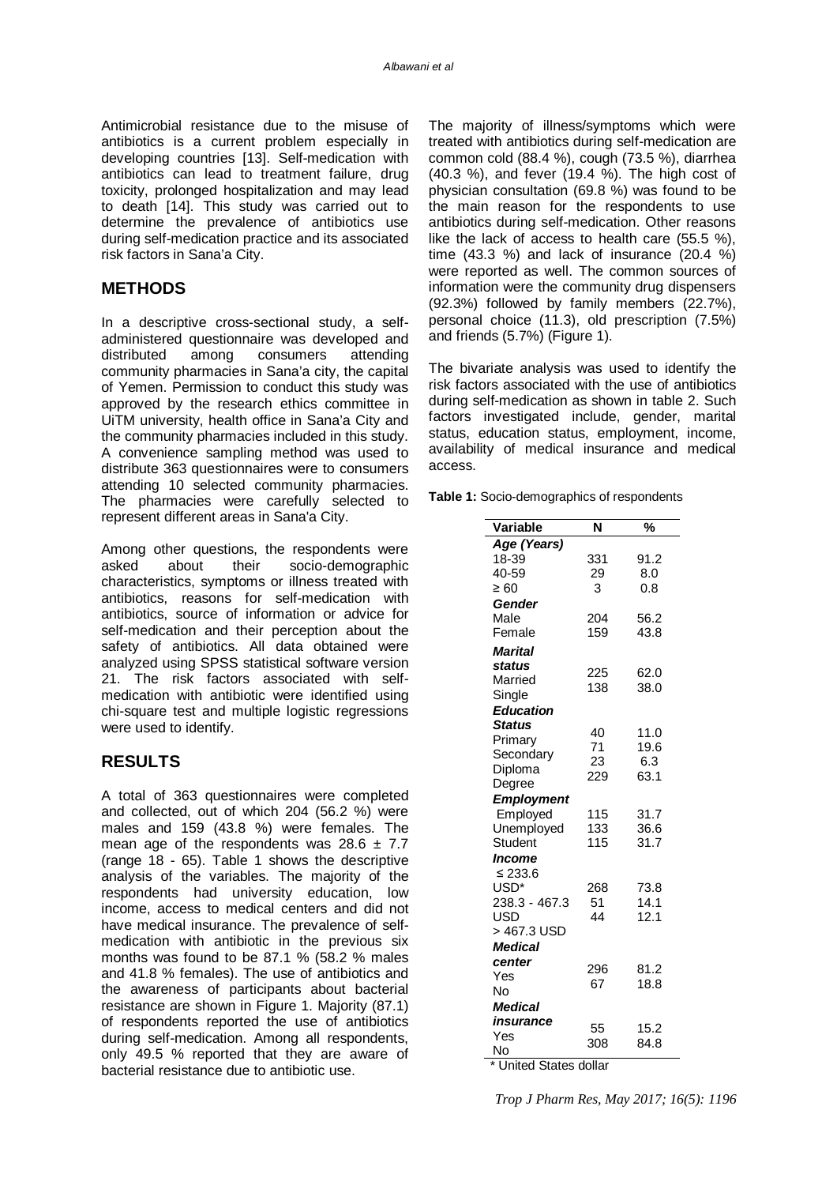Antimicrobial resistance due to the misuse of antibiotics is a current problem especially in developing countries [13]. Self-medication with antibiotics can lead to treatment failure, drug toxicity, prolonged hospitalization and may lead to death [14]. This study was carried out to determine the prevalence of antibiotics use during self-medication practice and its associated risk factors in Sana'a City.

### **METHODS**

In a descriptive cross-sectional study, a selfadministered questionnaire was developed and distributed among consumers attending community pharmacies in Sana'a city, the capital of Yemen. Permission to conduct this study was approved by the research ethics committee in UiTM university, health office in Sana'a City and the community pharmacies included in this study. A convenience sampling method was used to distribute 363 questionnaires were to consumers attending 10 selected community pharmacies. The pharmacies were carefully selected to represent different areas in Sana'a City.

Among other questions, the respondents were asked about their socio-demographic characteristics, symptoms or illness treated with antibiotics, reasons for self-medication with antibiotics, source of information or advice for self-medication and their perception about the safety of antibiotics. All data obtained were analyzed using SPSS statistical software version 21. The risk factors associated with selfmedication with antibiotic were identified using chi-square test and multiple logistic regressions were used to identify.

## **RESULTS**

A total of 363 questionnaires were completed and collected, out of which 204 (56.2 %) were males and 159 (43.8 %) were females. The mean age of the respondents was  $28.6 \pm 7.7$ (range 18 - 65). Table 1 shows the descriptive analysis of the variables. The majority of the respondents had university education, low income, access to medical centers and did not have medical insurance. The prevalence of selfmedication with antibiotic in the previous six months was found to be 87.1 % (58.2 % males and 41.8 % females). The use of antibiotics and the awareness of participants about bacterial resistance are shown in Figure 1. Majority (87.1) of respondents reported the use of antibiotics during self-medication. Among all respondents, only 49.5 % reported that they are aware of bacterial resistance due to antibiotic use.

The majority of illness/symptoms which were treated with antibiotics during self-medication are common cold (88.4 %), cough (73.5 %), diarrhea (40.3 %), and fever (19.4 %). The high cost of physician consultation (69.8 %) was found to be the main reason for the respondents to use antibiotics during self-medication. Other reasons like the lack of access to health care (55.5 %), time (43.3 %) and lack of insurance  $(20.4 \%)$ were reported as well. The common sources of information were the community drug dispensers (92.3%) followed by family members (22.7%), personal choice (11.3), old prescription (7.5%) and friends (5.7%) (Figure 1).

The bivariate analysis was used to identify the risk factors associated with the use of antibiotics during self-medication as shown in table 2. Such factors investigated include, gender, marital status, education status, employment, income, availability of medical insurance and medical access.

**Table 1:** Socio-demographics of respondents

| Variable          | N   | %    |  |  |
|-------------------|-----|------|--|--|
| Age (Years)       |     |      |  |  |
| 18-39             | 331 | 91.2 |  |  |
| 40-59             | 29  | 8.0  |  |  |
| $\geq 60$         | 3   | 0.8  |  |  |
| Gender            |     |      |  |  |
| Male              | 204 | 56.2 |  |  |
| Female            | 159 | 43.8 |  |  |
| <b>Marital</b>    |     |      |  |  |
| status            | 225 | 62.0 |  |  |
| Married           | 138 | 38.0 |  |  |
| Single            |     |      |  |  |
| <b>Education</b>  |     |      |  |  |
| <b>Status</b>     | 40  | 11.0 |  |  |
| Primary           | 71  | 19.6 |  |  |
| Secondary         | 23  | 6.3  |  |  |
| Diploma           | 229 | 63.1 |  |  |
| Degree            |     |      |  |  |
| <b>Employment</b> |     |      |  |  |
| Employed          | 115 | 31.7 |  |  |
| Unemployed        | 133 | 36.6 |  |  |
| Student           | 115 | 31.7 |  |  |
| Income            |     |      |  |  |
| ≤ 233.6           |     |      |  |  |
| USD*              | 268 | 73.8 |  |  |
| 238.3 - 467.3     | 51  | 14.1 |  |  |
| USD               | 44  | 12.1 |  |  |
| > 467.3 USD       |     |      |  |  |
| <b>Medical</b>    |     |      |  |  |
| center            | 296 | 81.2 |  |  |
| Yes               | 67  | 18.8 |  |  |
| No                |     |      |  |  |
| <b>Medical</b>    |     |      |  |  |
| insurance         | 55  | 15.2 |  |  |
| Yes               | 308 | 84.8 |  |  |
| No                |     |      |  |  |

\* United States dollar

*Trop J Pharm Res, May 2017; 16(5): 1196*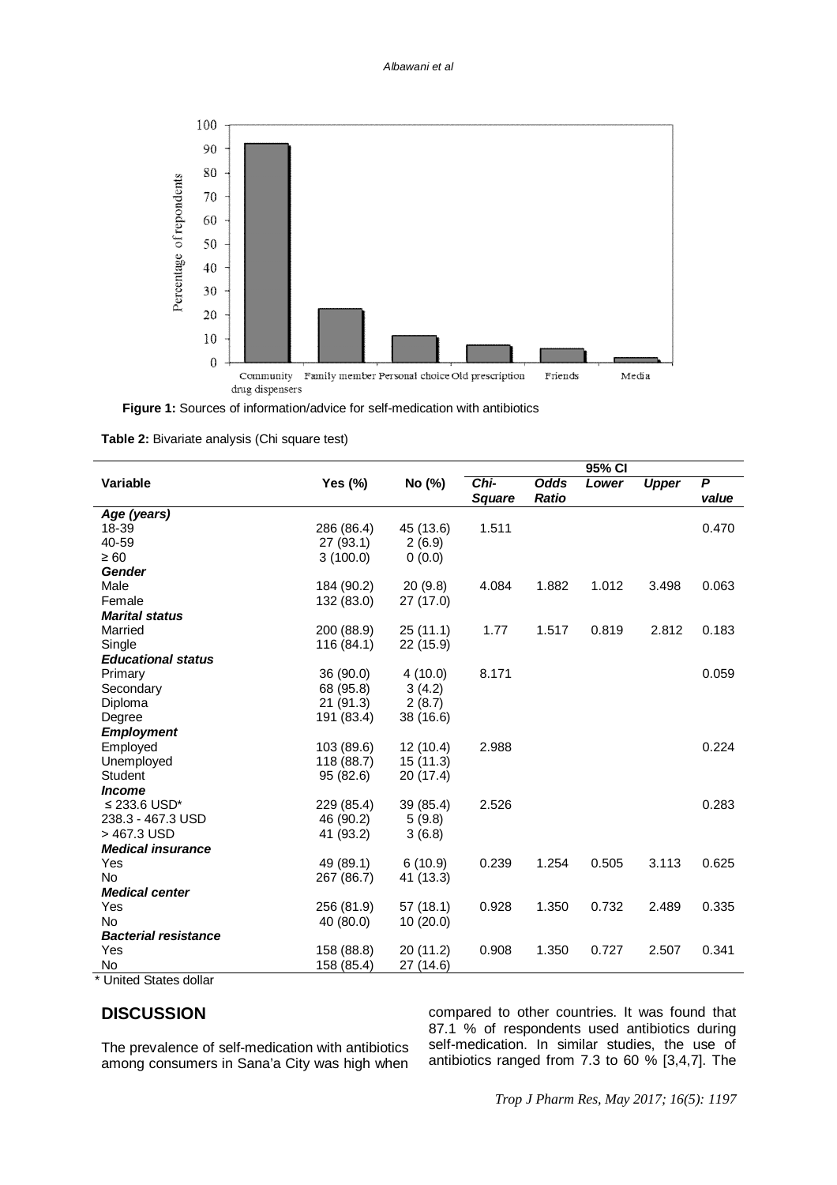

 **Figure 1:** Sources of information/advice for self-medication with antibiotics

**Table 2:** Bivariate analysis (Chi square test)

|                             |            |           | 95% CI        |              |       |              |                |
|-----------------------------|------------|-----------|---------------|--------------|-------|--------------|----------------|
| Variable                    | Yes (%)    | No (%)    | Chi-          | Odds         | Lower | <b>Upper</b> | $\overline{P}$ |
|                             |            |           | <b>Square</b> | <b>Ratio</b> |       |              | value          |
| Age (years)                 |            |           |               |              |       |              |                |
| 18-39                       | 286 (86.4) | 45 (13.6) | 1.511         |              |       |              | 0.470          |
| 40-59                       | 27 (93.1)  | 2(6.9)    |               |              |       |              |                |
| $\geq 60$                   | 3(100.0)   | 0(0.0)    |               |              |       |              |                |
| Gender                      |            |           |               |              |       |              |                |
| Male                        | 184 (90.2) | 20(9.8)   | 4.084         | 1.882        | 1.012 | 3.498        | 0.063          |
| Female                      | 132 (83.0) | 27(17.0)  |               |              |       |              |                |
| <b>Marital status</b>       |            |           |               |              |       |              |                |
| Married                     | 200 (88.9) | 25(11.1)  | 1.77          | 1.517        | 0.819 | 2.812        | 0.183          |
| Single                      | 116 (84.1) | 22 (15.9) |               |              |       |              |                |
| <b>Educational status</b>   |            |           |               |              |       |              |                |
| Primary                     | 36 (90.0)  | 4(10.0)   | 8.171         |              |       |              | 0.059          |
| Secondary                   | 68 (95.8)  | 3(4.2)    |               |              |       |              |                |
| Diploma                     | 21 (91.3)  | 2(8.7)    |               |              |       |              |                |
| Degree                      | 191 (83.4) | 38 (16.6) |               |              |       |              |                |
| <b>Employment</b>           |            |           |               |              |       |              |                |
| Employed                    | 103 (89.6) | 12(10.4)  | 2.988         |              |       |              | 0.224          |
| Unemployed                  | 118 (88.7) | 15(11.3)  |               |              |       |              |                |
| Student                     | 95 (82.6)  | 20 (17.4) |               |              |       |              |                |
| <i><b>Income</b></i>        |            |           |               |              |       |              |                |
| ≤ 233.6 USD*                | 229 (85.4) | 39 (85.4) | 2.526         |              |       |              | 0.283          |
| 238.3 - 467.3 USD           | 46 (90.2)  | 5(9.8)    |               |              |       |              |                |
| > 467.3 USD                 | 41 (93.2)  | 3(6.8)    |               |              |       |              |                |
| <b>Medical insurance</b>    |            |           |               |              |       |              |                |
| Yes                         | 49 (89.1)  | 6(10.9)   | 0.239         | 1.254        | 0.505 | 3.113        | 0.625          |
| <b>No</b>                   | 267 (86.7) | 41 (13.3) |               |              |       |              |                |
| <b>Medical center</b>       |            |           |               |              |       |              |                |
| Yes                         | 256 (81.9) | 57 (18.1) | 0.928         | 1.350        | 0.732 | 2.489        | 0.335          |
| <b>No</b>                   | 40 (80.0)  | 10(20.0)  |               |              |       |              |                |
| <b>Bacterial resistance</b> |            |           |               |              |       |              |                |
| Yes                         | 158 (88.8) | 20 (11.2) | 0.908         | 1.350        | 0.727 | 2.507        | 0.341          |
| No                          | 158 (85.4) | 27 (14.6) |               |              |       |              |                |
| $*$ United Ctates dellar    |            |           |               |              |       |              |                |

United States dollar

## **DISCUSSION**

The prevalence of self-medication with antibiotics among consumers in Sana'a City was high when compared to other countries. It was found that 87.1 % of respondents used antibiotics during self-medication. In similar studies, the use of antibiotics ranged from 7.3 to 60 % [3,4,7]. The

*Trop J Pharm Res, May 2017; 16(5): 1197*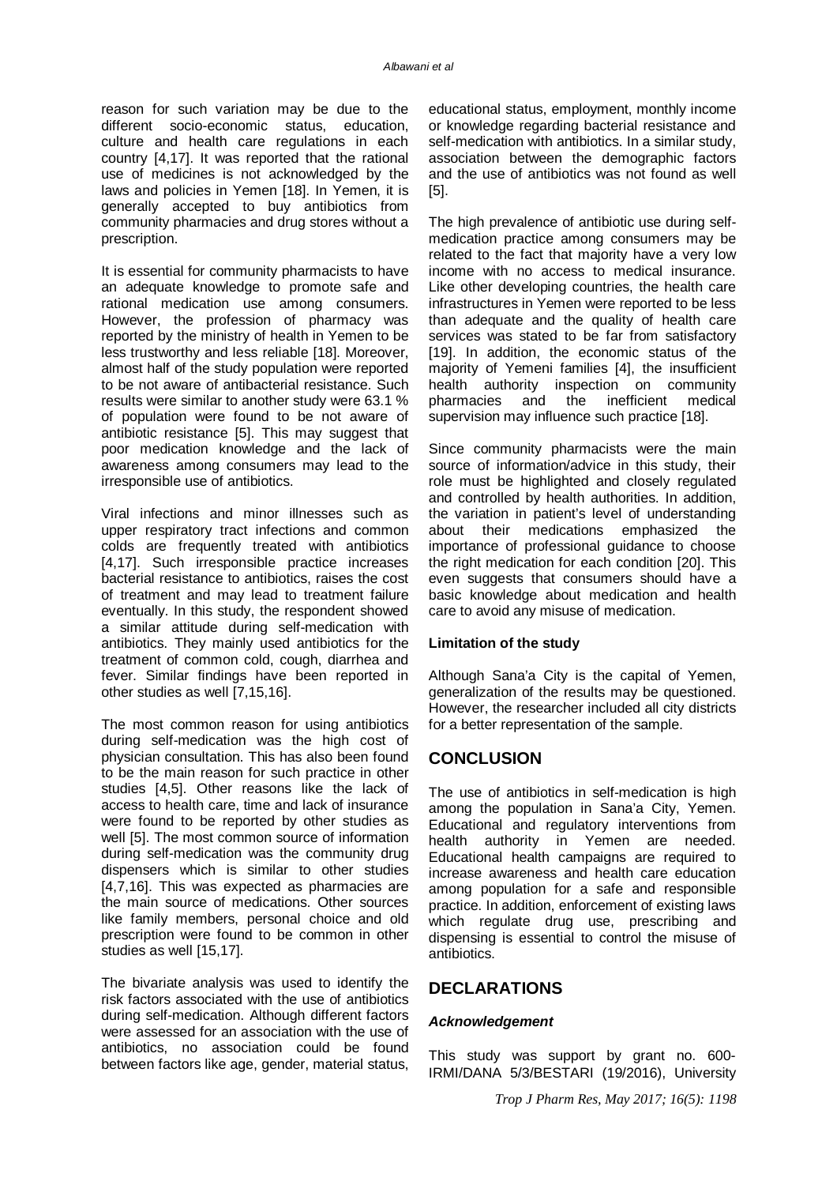reason for such variation may be due to the different socio-economic status, education, culture and health care regulations in each country [4,17]. It was reported that the rational use of medicines is not acknowledged by the laws and policies in Yemen [18]. In Yemen, it is generally accepted to buy antibiotics from community pharmacies and drug stores without a prescription.

It is essential for community pharmacists to have an adequate knowledge to promote safe and rational medication use among consumers. However, the profession of pharmacy was reported by the ministry of health in Yemen to be less trustworthy and less reliable [18]. Moreover, almost half of the study population were reported to be not aware of antibacterial resistance. Such results were similar to another study were 63.1 % of population were found to be not aware of antibiotic resistance [5]. This may suggest that poor medication knowledge and the lack of awareness among consumers may lead to the irresponsible use of antibiotics.

Viral infections and minor illnesses such as upper respiratory tract infections and common colds are frequently treated with antibiotics [4,17]. Such irresponsible practice increases bacterial resistance to antibiotics, raises the cost of treatment and may lead to treatment failure eventually. In this study, the respondent showed a similar attitude during self-medication with antibiotics. They mainly used antibiotics for the treatment of common cold, cough, diarrhea and fever. Similar findings have been reported in other studies as well [7,15,16].

The most common reason for using antibiotics during self-medication was the high cost of physician consultation. This has also been found to be the main reason for such practice in other studies [4,5]. Other reasons like the lack of access to health care, time and lack of insurance were found to be reported by other studies as well [5]. The most common source of information during self-medication was the community drug dispensers which is similar to other studies [4,7,16]. This was expected as pharmacies are the main source of medications. Other sources like family members, personal choice and old prescription were found to be common in other studies as well [15,17].

The bivariate analysis was used to identify the risk factors associated with the use of antibiotics during self-medication. Although different factors were assessed for an association with the use of antibiotics, no association could be found between factors like age, gender, material status,

educational status, employment, monthly income or knowledge regarding bacterial resistance and self-medication with antibiotics. In a similar study, association between the demographic factors and the use of antibiotics was not found as well [5].

The high prevalence of antibiotic use during selfmedication practice among consumers may be related to the fact that majority have a very low income with no access to medical insurance. Like other developing countries, the health care infrastructures in Yemen were reported to be less than adequate and the quality of health care services was stated to be far from satisfactory [19]. In addition, the economic status of the majority of Yemeni families [4], the insufficient health authority inspection on community<br>pharmacies and the inefficient medical pharmacies and the inefficient medical supervision may influence such practice [18].

Since community pharmacists were the main source of information/advice in this study, their role must be highlighted and closely regulated and controlled by health authorities. In addition, the variation in patient's level of understanding about their medications emphasized the importance of professional guidance to choose the right medication for each condition [20]. This even suggests that consumers should have a basic knowledge about medication and health care to avoid any misuse of medication.

#### **Limitation of the study**

Although Sana'a City is the capital of Yemen, generalization of the results may be questioned. However, the researcher included all city districts for a better representation of the sample.

#### **CONCLUSION**

The use of antibiotics in self-medication is high among the population in Sana'a City, Yemen. Educational and regulatory interventions from health authority in Yemen are needed. Educational health campaigns are required to increase awareness and health care education among population for a safe and responsible practice. In addition, enforcement of existing laws which regulate drug use, prescribing and dispensing is essential to control the misuse of antibiotics.

#### **DECLARATIONS**

#### *Acknowledgement*

This study was support by grant no. 600- IRMI/DANA 5/3/BESTARI (19/2016), University